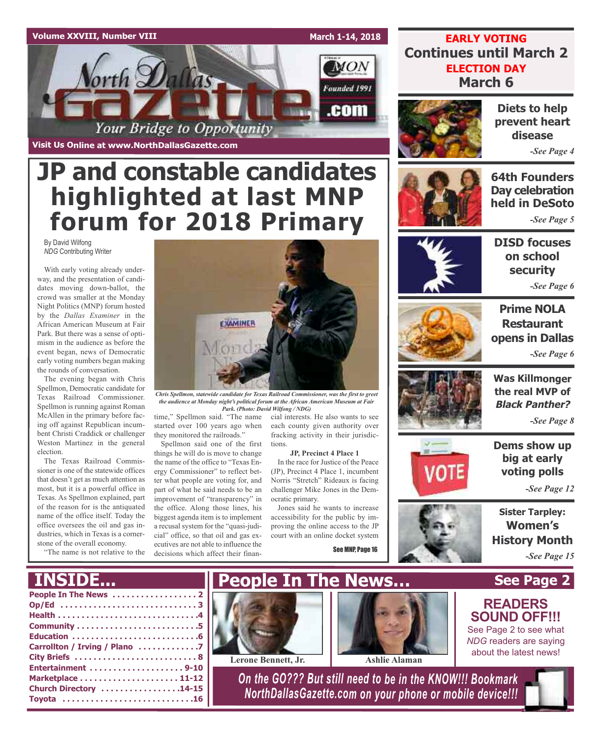## **Volume XXVIII, Number VIII March 1-14, 2018 MON** orth Dallas Founded 1991 .com Your Bridge to Opportunity **Visit Us Online at www.NorthDallasGazette.com**

# **JP and constable candidates highlighted at last MNP forum for 2018 Primary**

By David Wilfong *NDG* Contributing Writer

With early voting already underway, and the presentation of candidates moving down-ballot, the crowd was smaller at the Monday Night Politics (MNP) forum hosted by the *Dallas Examiner* in the African American Museum at Fair Park. But there was a sense of optimism in the audience as before the event began, news of Democratic early voting numbers began making the rounds of conversation.

The evening began with Chris Spellmon, Democratic candidate for Texas Railroad Commissioner. Spellmon is running against Roman McAllen in the primary before facing off against Republican incumbent Christi Craddick or challenger Weston Martinez in the general election.

The Texas Railroad Commissioner is one of the statewide offices that doesn't get as much attention as most, but it is a powerful office in Texas. As Spellmon explained, part of the reason for is the antiquated name of the office itself. Today the office oversees the oil and gas industries, which in Texas is a cornerstone of the overall economy.

"The name is not relative to the



**EXAMINER** 

tions.

ocratic primary.

time," Spellmon said. "The name started over 100 years ago when they monitored the railroads." *Park. (Photo: David Wilfong / NDG)*

Spellmon said one of the first things he will do is move to change the name of the office to "Texas Energy Commissioner" to reflect better what people are voting for, and part of what he said needs to be an improvement of "transparency" in the office. Along those lines, his biggest agenda item is to implement a recusal system for the "quasi-judicial" office, so that oil and gas executives are not able to influence the decisions which affect their finan-



cial interests. He also wants to see each county given authority over fracking activity in their jurisdic-

**JP, Precinct 4 Place 1** In the race for Justice of the Peace (JP), Precinct 4 Place 1, incumbent Norris "Stretch" Rideaux is facing challenger Mike Jones in the Dem-

Jones said he wants to increase accessibility for the public by improving the online access to the JP court with an online docket system

See MNP, Page 16



**Diets to help prevent heart disease**

**EARLY VOTING Continues until March 2**

> **ELECTION DAY March 6**

> > *-See Page 4*

**64th Founders Day celebration held in DeSoto**

*-See Page 5*



**Prime NOLA Restaurant** *-See Page 6*



**opens in Dallas** *-See Page 6*



**Was Killmonger the real MVP of Black Panther?**

*-See Page 8*

**Dems show up big at early voting polls**

*-See Page 12*

**Sister Tarpley: Women's History Month** *-See Page 15*

#### **People In The News . . . . . . . . . . . . . . . . . . 2 Op/Ed . . . . . . . . . . . . . . . . . . . . . . . . . . . . . 3 Health . . . . . . . . . . . . . . . . . . . . . . . . . . . . . .4 Community . . . . . . . . . . . . . . . . . . . . . . . . . .5 Education . . . . . . . . . . . . . . . . . . . . . . . . . . .6 Carrollton / Irving / Plano . . . . . . . . . . . . .7 City Briefs . . . . . . . . . . . . . . . . . . . . . . . . . . 8 Entertainment . . . . . . . . . . . . . . . . . . . . 9-10 Marketplace . . . . . . . . . . . . . . . . . . . . . 11-12 Church Directory . . . . . . . . . . . . . . . . .14-15 Toyota . . . . . . . . . . . . . . . . . . . . . . . . . . . .16** *On the GO??? But still need to be in the KNOW!!! Bookmark NorthDallasGazette.com on your phone or mobile device!!!* **INSIDE... See Page 2 People In The News… Lerone Bennett, Jr. Ashlie Alaman READERS SOUND OFF!!!** about the latest news!

See Page 2 to see what *NDG* readers are saying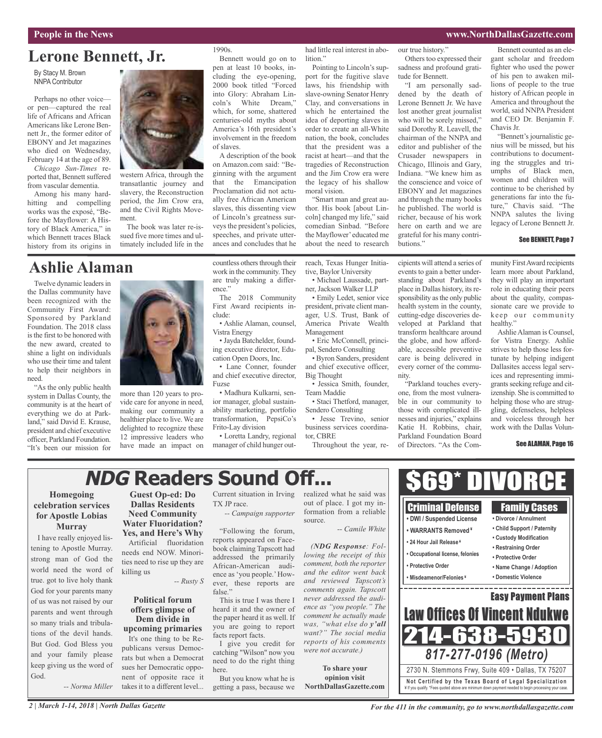## **Lerone Bennett, Jr.**

By Stacy M. Brown NNPA Contributor

Perhaps no other voice or pen—captured the real life of Africans and African Americans like Lerone Bennett Jr., the former editor of EBONY and Jet magazines who died on Wednesday, February 14 at the age of 89.

*Chicago Sun-Times* reported that, Bennett suffered from vascular dementia.

Among his many hardhitting and compelling works was the exposé, "Before the Mayflower: A History of Black America," in which Bennett traces Black history from its origins in

## **Ashlie Alaman**

Twelve dynamic leaders in the Dallas community have been recognized with the Community First Award: Sponsored by Parkland Foundation. The 2018 class is the first to be honored with the new award, created to shine a light on individuals who use their time and talent to help their neighbors in need.

"As the only public health system in Dallas County, the community is at the heart of everything we do at Parkland," said David E. Krause, president and chief executive officer, Parkland Foundation. "It's been our mission for



1990s.

of slaves.

Bennett would go on to pen at least 10 books, including the eye-opening, 2000 book titled "Forced into Glory: Abraham Lincoln's White Dream," which, for some, shattered centuries-old myths about America's 16th president's involvement in the freedom

A description of the book on Amazon.com said: "Beginning with the argument that the Emancipation Proclamation did not actually free African American slaves, this dissenting view of Lincoln's greatness surveysthe president's policies, speeches, and private utterances and concludes that he

western Africa, through the transatlantic journey and slavery, the Reconstruction period, the Jim Crow era, and the Civil Rights Movement.

The book was later re-issued five more times and ultimately included life in the

> countless others through their work in the community.They are truly making a difference."

The 2018 Community First Award recipients include:

• Ashlie Alaman, counsel, Vistra Energy

• Jayda Batchelder, founding executive director, Education Open Doors, Inc.

• Lane Conner, founder and chief executive director, Fuzse

• Madhura Kulkarni, senior manager, global sustainability marketing, portfolio transformation, PepsiCo's Frito-Lay division

• Loretta Landry, regional manager of child hunger out-

had little real interest in abolition."

Pointing to Lincoln's support for the fugitive slave laws, his friendship with slave-owning Senator Henry Clay, and conversations in which he entertained the idea of deporting slaves in order to create an all-White nation, the book, concludes that the president was a racist at heart—and that the tragedies of Reconstruction and the Jim Crow era were the legacy of his shallow moral vision.

"Smart man and great author. His book [about Lincoln] changed my life," said comedian Sinbad. "Before the Mayflower' educated me about the need to research

our true history."

Others too expressed their sadness and profound gratitude for Bennett.

"I am personally saddened by the death of Lerone Bennett Jr. We have lost another great journalist who will be sorely missed," said Dorothy R. Leavell, the chairman of the NNPA and editor and publisher of the Crusader newspapers in Chicago, Illinois and Gary, Indiana. "We knew him as the conscience and voice of EBONY and Jet magazines and through the many books he published. The world is richer, because of his work here on earth and we are grateful for his many contributions."

Bennett counted as an elegant scholar and freedom fighter who used the power of his pen to awaken millions of people to the true history of African people in America and throughout the world, said NNPA President and CEO Dr. Benjamin F. Chavis Jr.

"Bennett'sjournalistic genius will be missed, but his contributions to documenting the struggles and triumphs of Black men, women and children will continue to be cherished by generations far into the future," Chavis said. "The NNPA salutes the living legacy of Lerone Bennett Jr.

#### See BENNETT, Page 7

reach, Texas Hunger Initiative, Baylor University • Michael Laussade, partner, Jackson Walker LLP cipients will attend a series of events to gain a better understanding about Parkland's

• Emily Ledet, senior vice president, private client manager, U.S. Trust, Bank of America Private Wealth Management

• Eric McConnell, principal, Sendero Consulting • Byron Sanders, president

and chief executive officer, Big Thought • Jessica Smith, founder,

Team Maddie • Staci Thetford, manager,

Sendero Consulting

• Jesse Trevino, senior business services coordina-

tor, CBRE Throughout the year, replace in Dallas history, its responsibility as the only public health system in the county, cutting-edge discoveries developed at Parkland that transform healthcare around the globe, and how affordable, accessible preventive care is being delivered in every corner of the community. "Parkland touches every-

one, from the most vulnerable in our community to those with complicated illnesses and injuries," explains Katie H. Robbins, chair, Parkland Foundation Board of Directors. "As the Com-

munity First Award recipients learn more about Parkland, they will play an important role in educating their peers about the quality, compassionate care we provide to keep our community healthy."

AshlieAlaman is Counsel, for Vistra Energy. Ashlie strives to help those less fortunate by helping indigent Dallasites access legal services and representing immigrants seeking refuge and citizenship. She is committed to helping those who are struggling, defenseless, helpless and voiceless through her work with the Dallas Volun-

#### See ALAMAN, Page 16

# **NDG Readers Sound Off...**

## **Homegoing celebration services for Apostle Lobias Murray**

I have really enjoyed listening to Apostle Murray. strong man of God the world need the word of true. got to live holy thank God for your parents many of us was not raised by our parents and went through so many trials and tribulations of the devil hands. But God. God Bless you and your family please keep giving us the word of God.

**Guest Op-ed: Do Dallas Residents Need Community Water Fluoridation? Yes, and Here's Why** Artificial fluoridation needs end NOW. Minorities need to rise up they are killing us *-- Rusty S*

more than 120 years to provide care for anyone in need, making our community a healthier place to live.We are delighted to recognize these 12 impressive leaders who have made an impact on

#### **Political forum offers glimpse of Dem divide in**

**upcoming primaries** It's one thing to be Republicans versus Democrats but when a Democrat sues her Democratic opponent of opposite race it takes it to a different level...

Current situation in Irving TX JP race.

*-- Campaign supporter*

"Following the forum, reports appeared on Facebook claiming Tapscott had addressed the primarily African-American audience as 'you people.'However, these reports are false."

This is true I was there I heard it and the owner of the paper heard it as well. If you are going to report facts report facts.

I give you credit for catching "Wilson" now you need to do the right thing here.

But you know what he is getting a pass, because we realized what he said was out of place. I got my information from a reliable source.

*-- Camile White*

*(NDG Response: Following the receipt of this comment, both the reporter and the editor went back and reviewed Tapscott's comments again. Tapscott never addressed the audience as "you people." The comment he actually made was, "what else do y'all want?" The social media reports of his comments were not accurate.)*

**To share your opinion visit NorthDallasGazette.com**



**Not Ce rtified by the Te x a s Boa rd of Lega l Spe c ia l i za tion** ¥ If you qualify. \*Fees quoted above are minimum down payment needed to begin processing your case.

*For the 411 in the community, go to www.northdallasgazette.com*

*-- Norma Miller*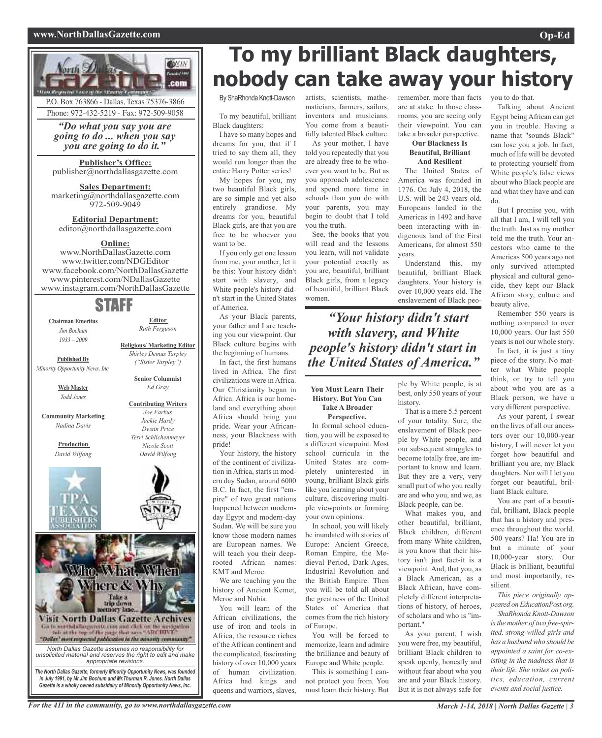#### **www.NorthDallasGazette.com Op-Ed**



P.O. Box 763866 - Dallas, Texas 75376-3866 Phone: 972-432-5219 - Fax: 972-509-9058

*"Do what you say you are going to do ... when you say you are going to do it."*

**Publisher's Office:** publisher@northdallasgazette.com

**Sales Department:** marketing@northdallasgazette.com 972-509-9049

**Editorial Department:** editor@northdallasgazette.com

#### **Online:**

www.NorthDallasGazette.com www.twitter.com/NDGEditor www.facebook.com/NorthDallasGazette www.pinterest.com/NDallasGazette www.instagram.com/NorthDallasGazette

## STAFF

**Chairman Emeritus** *Jim Bochum 1933 – 2009*

**Religious/ Marketing Editor**

**Published By** *Minority Opportunity News, Inc.*

> **Web Master** *Todd Jones*

**Community Marketing** *Nadina Davis*

> **Production** *David Wilfong*



*Ed Gray* **Contributing Writers** *Joe Farkus Jackie Hardy Dwain Price Terri Schlichenmeyer*

**Editor** *Ruth Ferguson*

*Shirley Demus Tarpley ("Sister Tarpley")*

**Senior Columnist**





## **To my brilliant Black daughters, nobody can take away your history**

By ShaRhonda Knott-Dawson

To my beautiful, brilliant Black daughters:

I have so many hopes and dreams for you, that if I tried to say them all, they would run longer than the entire Harry Potter series!

My hopes for you, my two beautiful Black girls, are so simple and yet also entirely grandiose. My dreams for you, beautiful Black girls, are that you are free to be whoever you want to be.

If you only get one lesson from me, your mother, let it be this: Your history didn't start with slavery, and White people's history didn't start in the United States of America.

As your Black parents, your father and I are teaching you our viewpoint. Our Black culture begins with the beginning of humans.

In fact, the first humans lived in Africa. The first civilizations were in Africa. Our Christianity began in Africa. Africa is our homeland and everything about Africa should bring you pride. Wear your Africanness, your Blackness with pride!

Your history, the history of the continent of civilization in Africa, starts in modern day Sudan, around 6000 B.C. In fact, the first "empire" of two great nations happened between modernday Egypt and modern-day Sudan. We will be sure you know those modern names are European names. We will teach you their deeprooted African names: KMT and Meroe.

We are teaching you the history of Ancient Kemet, Meroe and Nubia.

You will learn of the African civilizations, the use of iron and tools in Africa, the resource riches of the African continent and the complicated, fascinating history of over 10,000 years of human civilization. Africa had kings and queens and warriors, slaves,

artists, scientists, mathematicians, farmers, sailors, inventors and musicians. You come from a beautifully talented Black culture.

As your mother, I have told you repeatedly that you are already free to be whoever you want to be. But as you approach adolescence and spend more time in schools than you do with your parents, you may begin to doubt that I told you the truth.

See, the books that you will read and the lessons you learn, will not validate your potential exactly as you are, beautiful, brilliant Black girls, from a legacy of beautiful, brilliant Black women.

*"Your history didn't start with slavery, and White people's history didn't start in the United States of America."*

**You Must Learn Their History. But You Can Take A Broader Perspective.**

In formal school education, you will be exposed to a different viewpoint. Most school curricula in the United States are completely uninterested in young, brilliant Black girls like you learning about your culture, discovering multiple viewpoints or forming your own opinions.

In school, you will likely be inundated with stories of Europe: Ancient Greece, Roman Empire, the Medieval Period, Dark Ages, Industrial Revolution and the British Empire. Then you will be told all about the greatness of the United States of America that comes from the rich history of Europe.

You will be forced to memorize, learn and admire the brilliance and beauty of Europe and White people.

This is something I cannot protect you from. You must learn their history. But

remember, more than facts are at stake. In those classrooms, you are seeing only their viewpoint. You can take a broader perspective.

**Our Blackness Is Beautiful, Brilliant And Resilient**

The United States of America was founded in 1776. On July 4, 2018, the U.S. will be 243 years old. Europeans landed in the Americas in 1492 and have been interacting with indigenous land of the First Americans, for almost 550 years.

Understand this, my beautiful, brilliant Black daughters. Your history is over 10,000 years old. The enslavement of Black peo-

ple by White people, is at best, only 550 years of your history.

That is a mere 5.5 percent of your totality. Sure, the enslavement of Black people by White people, and our subsequent struggles to become totally free, are important to know and learn. But they are a very, very small part of who you really are and who you, and we, as Black people, can be.

What makes you, and other beautiful, brilliant, Black children, different from many White children, is you know that their history isn't just fact-it is a viewpoint. And, that you, as a Black American, as a Black African, have completely different interpretations of history, of heroes, of scholars and who is "important."

As your parent, I wish you were free, my beautiful, brilliant Black children to speak openly, honestly and without fear about who you are and your Black history. But it is not always safe for

you to do that.

Talking about Ancient Egypt being African can get you in trouble. Having a name that "sounds Black" can lose you a job. In fact, much of life will be devoted to protecting yourself from White people's false views about who Black people are and what they have and can do.

But I promise you, with all that I am, I will tell you the truth. Just as my mother told me the truth. Your ancestors who came to the Americas 500 years ago not only survived attempted physical and cultural genocide, they kept our Black African story, culture and beauty alive.

Remember 550 years is nothing compared to over 10,000 years. Our last 550 years is not our whole story.

In fact, it is just a tiny piece of the story. No matter what White people think, or try to tell you about who you are as a Black person, we have a very different perspective.

As your parent, I swear on the lives of all our ancestors over our 10,000-year history, I will never let you forget how beautiful and brilliant you are, my Black daughters. Nor will I let you forget our beautiful, brilliant Black culture.

You are part of a beautiful, brilliant, Black people that has a history and presence throughout the world. 500 years? Ha! You are in but a minute of your 10,000-year story. Our Black is brilliant, beautiful and most importantly, resilient.

*This piece originally appeared on EducationPost.org.*

*ShaRhondaKnott-Dawson isthe mother of two free-spirited, strong-willed girls and has a husband who should be appointed a saint for co-existing in the madness that is their life. She writes on politics, education, current events and social justice.*

*Gazette is a wholly owned subsidairy of Minority Opportunity News, Inc.*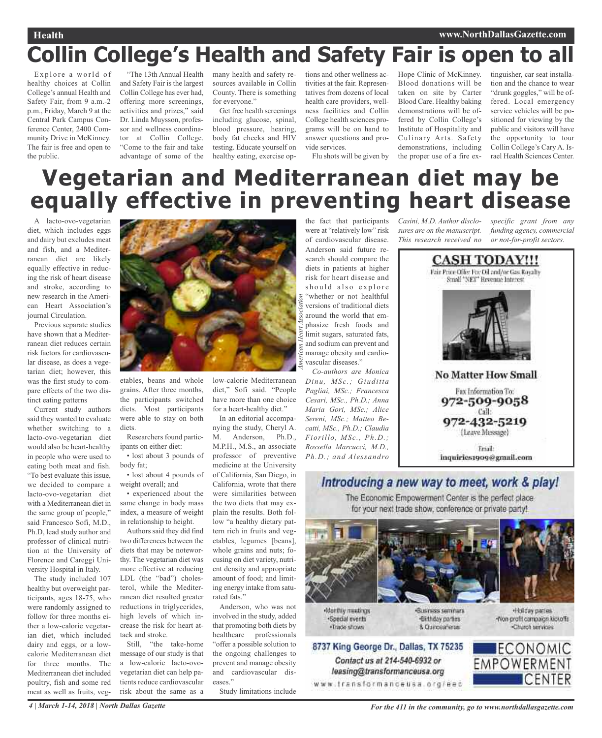#### **Health www.NorthDallasGazette.com**

# **Collin College's Health and Safety Fair is open to all**

Explore a world of healthy choices at Collin College's annual Health and Safety Fair, from 9 a.m.-2 p.m., Friday, March 9 at the Central Park Campus Conference Center, 2400 Community Drive in McKinney. The fair is free and open to the public.

"The 13th Annual Health and Safety Fair is the largest Collin College has ever had, offering more screenings, activities and prizes," said Dr. Linda Muysson, professor and wellness coordinator at Collin College. "Come to the fair and take advantage of some of the

many health and safety resources available in Collin County. There is something for everyone."

Get free health screenings including glucose, spinal, blood pressure, hearing, body fat checks and HIV testing. Educate yourself on healthy eating, exercise options and other wellness activities at the fair. Representatives from dozens of local health care providers, wellness facilities and Collin College health sciences programs will be on hand to answer questions and provide services.

Flu shots will be given by

Hope Clinic of McKinney. Blood donations will be taken on site by Carter Blood Care. Healthy baking demonstrations will be offered by Collin College's Institute of Hospitality and Culinary Arts. Safety demonstrations, including the proper use of a fire extinguisher, car seat installation and the chance to wear "drunk goggles," will be offered. Local emergency service vehicles will be positioned for viewing by the public and visitors will have the opportunity to tour Collin College's Cary A. Israel Health Sciences Center.

# **Vegetarian and Mediterranean diet may be equally effective in preventing heart disease**

*A*

*merican Heart Association*

A lacto-ovo-vegetarian diet, which includes eggs and dairy but excludes meat and fish, and a Mediterranean diet are likely equally effective in reducing the risk of heart disease and stroke, according to new research in the American Heart Association's journal Circulation.

Previous separate studies have shown that a Mediterranean diet reduces certain risk factors for cardiovascular disease, as does a vegetarian diet; however, this was the first study to compare effects of the two distinct eating patterns

Current study authors said they wanted to evaluate whether switching to a lacto-ovo-vegetarian diet would also be heart-healthy in people who were used to eating both meat and fish. "To best evaluate this issue, we decided to compare a lacto-ovo-vegetarian diet with a Mediterranean diet in the same group of people," said Francesco Sofi, M.D., Ph.D, lead study author and professor of clinical nutrition at the University of Florence and Careggi University Hospital in Italy.

The study included 107 healthy but overweight participants, ages 18-75, who were randomly assigned to follow for three months either a low-calorie vegetarian diet, which included dairy and eggs, or a lowcalorie Mediterranean diet for three months. The Mediterranean diet included poultry, fish and some red meat as well as fruits, veg-



etables, beans and whole grains. After three months, the participants switched diets. Most participants were able to stay on both diets.

Researchers found participants on either diet:

• lost about 3 pounds of body fat;

• lost about 4 pounds of weight overall; and

• experienced about the same change in body mass index, a measure of weight in relationship to height.

Authors said they did find two differences between the diets that may be noteworthy. The vegetarian diet was more effective at reducing LDL (the "bad") cholesterol, while the Mediterranean diet resulted greater reductions in triglycerides, high levels of which increase the risk for heart attack and stroke.

Still, "the take-home message of our study is that a low-calorie lacto-ovovegetarian diet can help patients reduce cardiovascular risk about the same as a

low-calorie Mediterranean diet," Sofi said. "People have more than one choice for a heart-healthy diet."

In an editorial accompanying the study, Cheryl A. M. Anderson, Ph.D., M.P.H., M.S., an associate professor of preventive medicine at the University of California, San Diego, in California, wrote that there were similarities between the two diets that may explain the results. Both follow "a healthy dietary pattern rich in fruits and vegetables, legumes [beans], whole grains and nuts; focusing on diet variety, nutrient density and appropriate amount of food; and limiting energy intake from saturated fats.'

Anderson, who was not involved in the study, added that promoting both diets by healthcare professionals "offer a possible solution to the ongoing challenges to prevent and manage obesity and cardiovascular diseases."

Study limitations include

the fact that participants *Casini, M.D. Author disclo*were at "relatively low" risk of cardiovascular disease. Anderson said future research should compare the diets in patients at higher risk for heart disease and should also explore "whether or not healthful versions of traditional diets around the world that emphasize fresh foods and limit sugars, saturated fats, and sodium can prevent and manage obesity and cardiovascular diseases."

*Co-authors are Monica Dinu, MSc.; Giuditta Pagliai, MSc.; Francesca Cesari, MSc., Ph.D.; Anna Maria Gori, MSc.; Alice Sereni, MSc.; Matteo Becatti, MSc., Ph.D.; Claudia Fiorillo, MSc., Ph.D.; Rossella Marcucci, M.D., Ph.D.; and Alessandro*

*sures are on the manuscript. This research received no*

*specific grant from any funding agency, commercial or not-for-profit sectors.*



Email: inquiries1909@gmail.com

## Introducing a new way to meet, work & play!

The Economic Empowerment Center is the perfect place for your next trade show, conference or private party!



ktoribly meetings ·Soedal events ·Trade shows

Contact us at 214-540-6932 or

leasing@transformanceusa.org

-Business seminars ·Birthday parties 8. Curiceaferas

Holday parties. -Non-profit campaign kickoffs Charch services

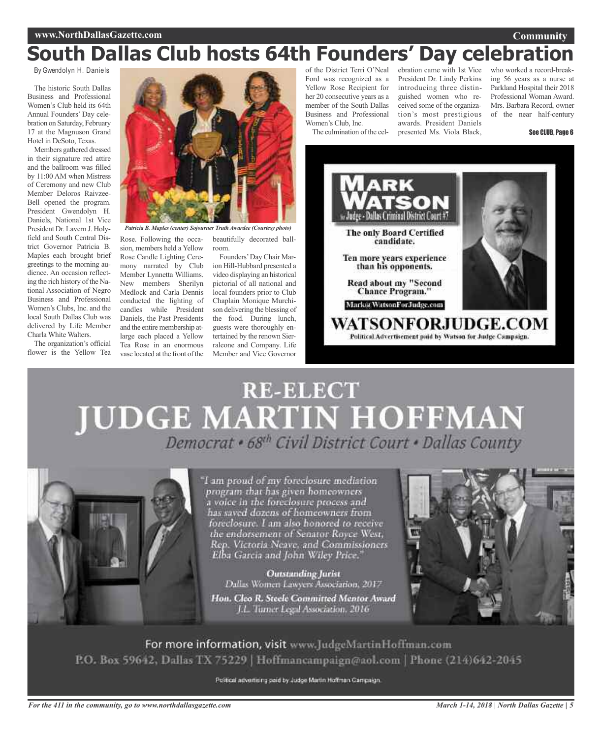## **South Dallas Club hosts 64th Founders' Day celebration**

By Gwendolyn H. Daniels

The historic South Dallas Business and Professional Women's Club held its 64th Annual Founders' Day celebration on Saturday, February 17 at the Magnuson Grand Hotel in DeSoto, Texas.

Members gathered dressed in their signature red attire and the ballroom was filled by 11:00 AM when Mistress of Ceremony and new Club Member Deloros Raivzee-Bell opened the program. President Gwendolyn H. Daniels, National 1st Vice President Dr. Lavern J. Holyfield and South Central District Governor Patricia B. Maples each brought brief greetings to the morning audience. An occasion reflecting the rich history of the National Association of Negro Business and Professional Women's Clubs, Inc. and the local South Dallas Club was delivered by Life Member Charla White Walters.

The organization's official flower is the Yellow Tea



*Patricia B. Maples (center) Sojourner TruthAwardee (Courtesy photo)*

Rose. Following the occasion, members held a Yellow Rose Candle Lighting Ceremony narrated by Club Member Lynnetta Williams. New members Sherilyn Medlock and Carla Dennis conducted the lighting of candles while President Daniels, the Past Presidents and the entire membership atlarge each placed a Yellow Tea Rose in an enormous vase located at the front of the

beautifully decorated ballroom.

Founders'Day Chair Marion Hill-Hubbard presented a video displaying an historical pictorial of all national and local founders prior to Club Chaplain Monique Murchison delivering the blessing of the food. During lunch, guests were thoroughly entertained by the renown Sierraleone and Company. Life Member and Vice Governor

of the District Terri O'Neal Ford was recognized as a Yellow Rose Recipient for her 20 consecutive years as a member of the South Dallas Business and Professional Women's Club, Inc.

The culmination of the cel-

ebration came with 1st Vice President Dr. Lindy Perkins introducing three distinguished women who received some of the organization's most prestigious awards. President Daniels presented Ms. Viola Black,

who worked a record-breaking 56 years as a nurse at Parkland Hospital their 2018 Professional Woman Award. Mrs. Barbara Record, owner of the near half-century

**Community**

See CLUB, Page 6



# **RE-ELECT JUDGE MARTIN HOFFMAN**<br>Democrat . 68<sup>th</sup> Civil District Court . Dallas County



"I am proud of my foreclosure mediation program that has given homeowners<br>a voice in the foreclosure process and<br>has saved dozens of homeowners from foreclosure. I am also honored to receive the endorsement of Senator Royce West, Rep. Victoria Neave, and Commissioners Elba Garcia and John Wiley Price."

**Outstanding Jurist** Dallas Women Lawyers Association, 2017. Hon. Cleo R. Steele Committed Mentor Award J.L. Turner Legal Association, 2016



For more information, visit www.JudgeMartinHoffman.com P.O. Box 59642, Dallas TX 75229 | Hoffmancampaign@aol.com | Phone (214)642-2045

Political advertising paid by Judge Martin Hoffman Campaign.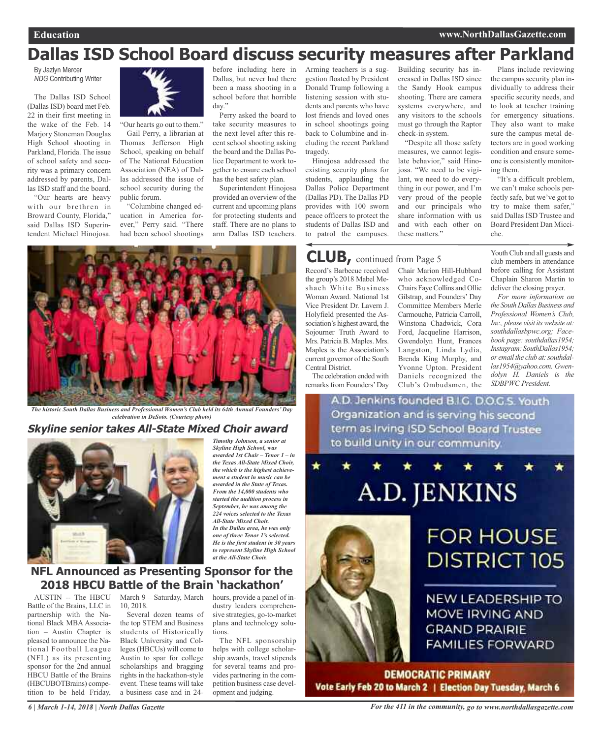## **Dallas ISD School Board discuss security measures after Parkland**

By Jazlyn Mercer *NDG* Contributing Writer

The Dallas ISD School (Dallas ISD) board met Feb. 22 in their first meeting in the wake of the Feb. 14 Marjory Stoneman Douglas High School shooting in Parkland, Florida. The issue of school safety and security was a primary concern addressed by parents, Dallas ISD staff and the board.

"Our hearts are heavy with our brethren in Broward County, Florida," said Dallas ISD Superintendent Michael Hinojosa.

![](_page_5_Picture_6.jpeg)

"Our hearts go out to them."

Gail Perry, a librarian at Thomas Jefferson High School, speaking on behalf of The National Education Association (NEA) of Dallas addressed the issue of school security during the public forum.

"Columbine changed education in America forever," Perry said. "There had been school shootings before including here in Dallas, but never had there been a mass shooting in a school before that horrible day."

Perry asked the board to take security measures to the next level after this recent school shooting asking the board and the Dallas Police Department to work together to ensure each school has the best safety plan.

Superintendent Hinojosa provided an overview of the current and upcoming plans for protecting students and staff. There are no plans to arm Dallas ISD teachers.

![](_page_5_Picture_13.jpeg)

*The historic South Dallas Business and Professional Women's Club held its 64th Annual Founders' Day celebration in DeSoto. (Courtesy photo)*

## **Skyline senior takes All-State Mixed Choir award**

![](_page_5_Picture_16.jpeg)

*Timothy Johnson, a senior at Skyline High School, was awarded 1st Chair – Tenor 1 – in the Texas All-State Mixed Choir, the which is the highest achievement a student in music can be awarded in the State of Texas. From the 14,000 students who started the audition process in September, he was among the 224 voices selected to the Texas All-State Mixed Choir. In the Dallas area, he was only one of three Tenor 1's selected. He is the first student in 30 years to represent Skyline High School at the All-State Choir.*

## **NFL Announced as Presenting Sponsor for the 2018 HBCU Battle of the Brain 'hackathon'**

AUSTIN -- The HBCU Battle of the Brains, LLC in partnership with the National Black MBA Association – Austin Chapter is pleased to announce the National Football League (NFL) as its presenting sponsor for the 2nd annual HBCU Battle of the Brains (HBCUBOTBrains) competition to be held Friday,

10, 2018.

Several dozen teams of the top STEM and Business students of Historically Black University and Colleges (HBCUs) will come to Austin to spar for college scholarships and bragging rights in the hackathon-style event. These teams will take a business case and in 24-

March 9 – Saturday, March hours, provide a panel of industry leaders comprehensive strategies, go-to-market plans and technology solutions.

The NFL sponsorship helps with college scholarship awards, travel stipends for several teams and provides partnering in the competition business case development and judging.

Arming teachers is a suggestion floated by President Donald Trump following a listening session with students and parents who have lost friends and loved ones in school shootings going back to Columbine and including the recent Parkland tragedy.

Hinojosa addressed the existing security plans for students, applauding the Dallas Police Department (Dallas PD). The Dallas PD provides with 100 sworn peace officers to protect the students of Dallas ISD and to patrol the campuses.

## **CLUB,** continued from Page <sup>5</sup>

Record's Barbecue received Chair Marion Hill-Hubbard the group's 2018 Mabel Meshach White Business Woman Award. National 1st Vice President Dr. Lavern J. Holyfield presented the Association's highest award, the Sojourner Truth Award to Mrs. PatriciaB. Maples. Mrs. Maples is the Association's current governor of the South Central District.

The celebration ended with remarks from Founders'Day who acknowledged Co-Chairs FayeCollins and Ollie Gilstrap, and Founders' Day Committee Members Merle Carmouche, Patricia Carroll, Winstona Chadwick, Cora Ford, Jacqueline Harrison, Gwendolyn Hunt, Frances Langston, Linda Lydia, Brenda King Murphy, and Yvonne Upton. President Daniels recognized the Club's Ombudsmen, the

Building security has increased in Dallas ISD since the Sandy Hook campus shooting. There are camera systems everywhere, and any visitors to the schools must go through the Raptor

"Despite all those safety measures, we cannot legislate behavior," said Hinojosa. "We need to be vigilant, we need to do everything in our power, and I'm very proud of the people and our principals who share information with us and with each other on

check-in system.

these matters."

Plans include reviewing the campus security plan individually to address their specific security needs, and to look at teacher training for emergency situations. They also want to make sure the campus metal detectors are in good working condition and ensure someone is consistently monitoring them.

"It's a difficult problem, we can't make schools perfectly safe, but we've got to try to make them safer," said Dallas ISD Trustee and Board President Dan Micciche.

Youth Club and all guests and club members in attendance before calling for Assistant Chaplain Sharon Martin to deliver the closing prayer.

*For more information on*  $the$  *South Dallas Business and Professional Women's Club, Inc., please visit itswebsite at: southdallasbpwc.org; Facebook page: southdallas1954; Instagram: SouthDallas1954; or email the club at:southdallas1954@yahoo.com. Gwendolyn H. Daniels is the SDBPWC President.*

A.D. Jenkins founded B.I.C. D.O.G.S. Youth Organization and is serving his second term as Irving ISD School Board Trustee to build unity in our community

![](_page_5_Picture_35.jpeg)

**NEW LEADERSHIP TO MOVE IRVING AND GRAND PRAIRIE** 

**FAMILIES FORWARD** 

**DEMOCRATIC PRIMARY** Vote Early Feb 20 to March 2 | Election Day Tuesday, March 6

*6 | March 1-14, 2018 | North Dallas Gazette*

*For the 411 in the community, go to www.northdallasgazette.com*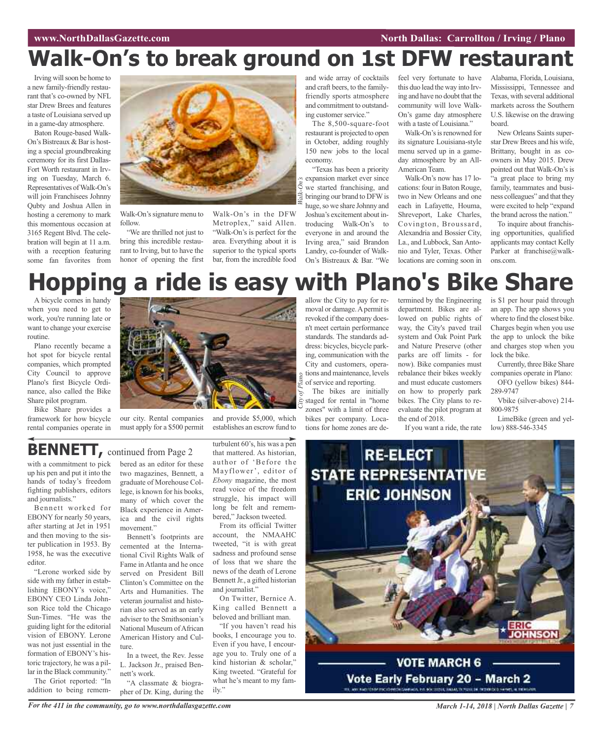## **Walk-On's to break ground on 1st DFW restaurant**

Irving will soon be home to a new family-friendly restaurant that's co-owned by NFL star Drew Brees and features a taste of Louisiana served up in a game-day atmosphere.

Baton Rouge-based Walk-On's Bistreaux  $&$  Bar is hosting a special groundbreaking ceremony for its first Dallas-Fort Worth restaurant in Irving on Tuesday, March 6. Representatives ofWalk-On's will join Franchisees Johnny Qubty and Joshua Allen in hosting a ceremony to mark this momentous occasion at 3165 Regent Blvd. The celebration will begin at 11 a.m. with a reception featuring some fan favorites from

![](_page_6_Picture_5.jpeg)

Walk-On's signature menu to follow.

"We are thrilled not just to bring this incredible restaurant to Irving, but to have the honor of opening the first Walk-On's in the DFW Metroplex," said Allen. "Walk-On's is perfect for the area. Everything about it is superior to the typical sports bar, from the incredible food and wide array of cocktails and craft beers, to the familyfriendly sports atmosphere and commitment to outstanding customer service."

The 8,500-square-foot restaurant is projected to open in October, adding roughly 150 new jobs to the local economy.

"Texas has been a priority expansion market ever since we started franchising, and bringing our brand to DFW is huge, so we share Johnny and Joshua's excitement about introducing Walk-On's to everyone in and around the Irving area," said Brandon Landry, co-founder of Walk-On's Bistreaux & Bar. "We

feel very fortunate to have this duo lead the way into Irving and have no doubt that the community will love Walk-On's game day atmosphere with a taste of Louisiana."

Walk-On's is renowned for its signature Louisiana-style menu served up in a gameday atmosphere by an All-American Team.

Walk-On's now has 17 locations: four in Baton Rouge, two in New Orleans and one each in Lafayette, Houma, Shreveport, Lake Charles, Covington, Broussard, Alexandria and Bossier City, La., and Lubbock, San Antonio and Tyler, Texas. Other locations are coming soon in

Alabama, Florida, Louisiana, Mississippi, Tennessee and Texas, with several additional markets across the Southern U.S. likewise on the drawing board.

New Orleans Saints superstar Drew Brees and his wife, Brittany, bought in as coowners in May 2015. Drew pointed out that Walk-On's is "a great place to bring my family, teammates and business colleagues" and that they were excited to help "expand the brand across the nation."

To inquire about franchising opportunities, qualified applicants may contact Kelly Parker at franchise@walkons.com.

# **Hopping a ride is easy with Plano's Bike Share**

*City of*

*Plano*

*Walk-On's*

A bicycle comes in handy when you need to get to work, you're running late or want to change your exercise routine.

Plano recently became a hot spot for bicycle rental companies, which prompted City Council to approve Plano's first Bicycle Ordinance, also called the Bike Share pilot program.

Bike Share provides a framework for how bicycle rental companies operate in

![](_page_6_Picture_22.jpeg)

our city. Rental companies must apply for a \$500 permit

## **BENNETT,** continued from Page <sup>2</sup>

with a commitment to pick up his pen and put it into the hands of today's freedom fighting publishers, editors and journalists."

Bennett worked for EBONY for nearly 50 years, after starting at Jet in 1951 and then moving to the sister publication in 1953. By 1958, he was the executive editor.

"Lerone worked side by side with my father in establishing EBONY's voice," EBONY CEO Linda Johnson Rice told the Chicago Sun-Times. "He was the guiding light for the editorial vision of EBONY. Lerone was not just essential in the formation of EBONY's historic trajectory, he was a pillar in the Black community."

The Griot reported: "In addition to being remembered as an editor for these two magazines, Bennett, a graduate of Morehouse College, is known for his books, many of which cover the Black experience in America and the civil rights movement."

Bennett's footprints are cemented at the International Civil Rights Walk of Fame inAtlanta and he once served on President Bill Clinton's Committee on the Arts and Humanities. The veteran journalist and historian also served as an early adviser to the Smithsonian's National Museum of African American History and Culture.

In a tweet, the Rev. Jesse L. Jackson Jr., praised Bennett's work.

"A classmate & biographer of Dr. King, during the turbulent 60's, his was a pen that mattered. As historian, author of 'Before the Mayflower', editor of *Ebony* magazine, the most read voice of the freedom struggle, his impact will long be felt and remembered," Jackson tweeted.

establishes an escrow fund to

From its official Twitter account, the NMAAHC tweeted, "it is with great sadness and profound sense of loss that we share the news of the death of Lerone Bennett Jr., a gifted historian and journalist."

On Twitter, Bernice A. King called Bennett a beloved and brilliant man.

"If you haven't read his books, I encourage you to. Even if you have, I encourage you to. Truly one of a kind historian & scholar," King tweeted. "Grateful for what he's meant to my family."

allow the City to pay for removal or damage.Apermit is revoked if the company doesn't meet certain performance standards. The standards address: bicycles, bicycle parking, communication with the City and customers, operations and maintenance, levels of service and reporting.

The bikes are initially staged for rental in "home zones" with a limit of three bikes per company. Locations for home zones are determined by the Engineering department. Bikes are allowed on public rights of way, the City's paved trail system and Oak Point Park and Nature Preserve (other parks are off limits - for now). Bike companies must rebalance their bikes weekly and must educate customers on how to properly park bikes. The City plans to reevaluate the pilot program at the end of 2018.

If you want a ride, the rate

is \$1 per hour paid through an app. The app shows you where to find the closest bike. Charges begin when you use the app to unlock the bike and charges stop when you lock the bike.

Currently, three Bike Share companies operate in Plano: OFO (yellow bikes) 844- 289-9747

Vbike (silver-above) 214- 800-9875

LimeBike (green and yellow) 888-546-3345

![](_page_6_Picture_45.jpeg)

For the 411 in the community, go to www.northdallasgazette.com March 1-14, 2018 | North Dallas Gazette | 7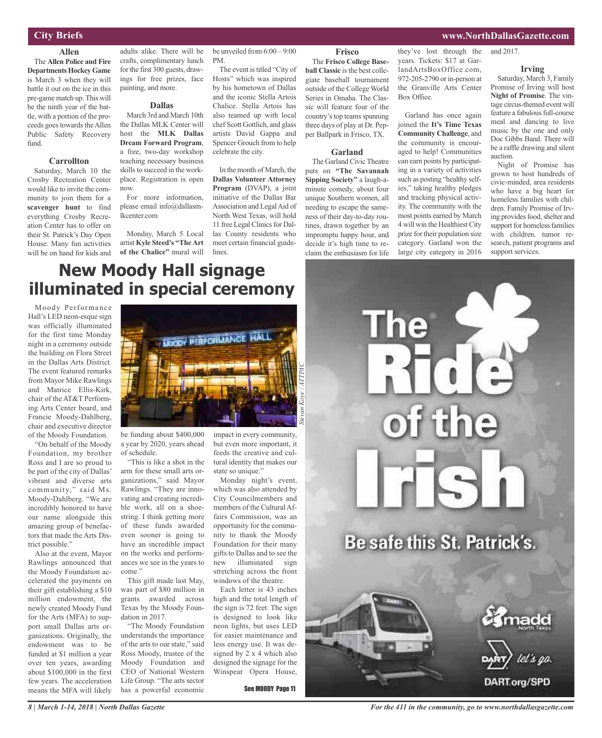## **City Briefs**

#### **Allen** The **Allen Police and Fire Departments Hockey Game** is March 3 when they will battle it out on the ice in this pre-game match up. This will be the ninth year of the battle, with a portion of the proceeds goes towards the Allen Public Safety Recovery fund.

#### **Carrollton**

Saturday, March 10 the Crosby Recreation Center would like to invite the community to join them for a **scavenger hunt** to find everything Crosby Recreation Center has to offer on their St. Patrick's Day Open House. Many fun activities will be on hand for kids and

adults alike. There will be crafts, complimentary lunch for the first 300 guests, drawings for free prizes, face painting, and more.

#### **Dallas**

March 3rd and March 10th the Dallas MLK Center will host the **MLK Dallas Dream Forward Program**, a free, two-day workshop teaching necessary business skills to succeed in the workplace. Registration is open now.

For more information, please email info@dallasmlkcenter.com

Monday, March 5 Local artist **Kyle Steed's "TheArt of the Chalice"** mural will

be unveiled from 6:00 – 9:00 PM.

The event is titled "City of Hosts" which was inspired by his hometown of Dallas and the iconic Stella Artois Chalice. Stella Artois has also teamed up with local chef Scott Gottlich, and glass artists David Gappa and Spencer Grouch from to help celebrate the city.

In the month of March, the **Dallas Volunteer Attorney Program** (DVAP), a joint initiative of the Dallas Bar Association and Legal Aid of North West Texas, will hold 11 free Legal Clinics for Dallas County residents who meet certain financial guidelines.

#### **Frisco**

The **Frisco College Baseball Classic** is the best collegiate baseball tournament outside of the College World Series in Omaha. The Classic will feature four of the country's top teams spanning three days of play at Dr. Pepper Ballpark in Frisco, TX.

#### **Garland**

The Garland Civic Theatre puts on **"The Savannah Sipping Society"** a laugh-aminute comedy, about four unique Southern women, all needing to escape the sameness of their day-to-day routines, drawn together by an impromptu happy hour, and decide it's high time to reclaim the enthusiasm for life

**www.NorthDallasGazette.com** they've lost through the

years. Tickets: \$17 at GarlandArtsBoxOffice.com, 972-205-2790 or in-person at the Granville Arts Center

Garland has once again joined the **It's Time Texas Community Challenge**, and the community is encouraged to help! Communities can earn points by participating in a variety of activities such as posting "healthy selfies," taking healthy pledges and tracking physical activity. The community with the most points earned by March 4 will win the Healthiest City prize for their population size category. Garland won the large city category in 2016

Box Office.

The

#### **Irving**

Saturday, March 3, Family Promise of Irving will host **Night of Promise**. The vintage circus-themed event will feature a fabulous full-course meal and dancing to live music by the one and only Doc Gibbs Band. There will be a raffle drawing and silent auction.

Night of Promise has grown to host hundreds of civic-minded, area residents who have a big heart for homeless families with children. Family Promise of Irving provides food, shelter and support for homeless families with children. tumor research, patient programs and support services.

## **New Moody Hall signage illuminated in special ceremony**

Moody Performance Hall's LED neon-esque sign was officially illuminated for the first time Monday night in a ceremony outside the building on Flora Street in the Dallas Arts District. The event featured remarks from Mayor Mike Rawlings and Matrice Ellis-Kirk, chair of the AT&T Performing Arts Center board, and Francie Moody-Dahlberg, chair and executive director of the Moody Foundation.

"On behalf of the Moody Foundation, my brother Ross and I are so proud to be part of the city of Dallas' vibrant and diverse arts community," said Ms. Moody-Dahlberg. "We are incredibly honored to have our name alongside this amazing group of benefactors that made the Arts District possible."

Also at the event, Mayor Rawlings announced that the Moody Foundation accelerated the payments on their gift establishing a \$10 million endowment, the newly created Moody Fund for the Arts (MFA) to support small Dallas arts organizations. Originally, the endowment was to be funded at \$1 million a year over ten years, awarding about \$100,000 in the first few years. The acceleration means the MFA will likely

![](_page_7_Picture_24.jpeg)

be funding about \$400,000 a year by 2020, years ahead of schedule.

"This is like a shot in the arm for these small arts organizations," said Mayor Rawlings. "They are innovating and creating incredible work, all on a shoestring. I think getting more of these funds awarded even sooner is going to have an incredible impact on the works and performances we see in the years to come."

This gift made last May, was part of \$80 million in grants awarded across Texas by the Moody Foundation in 2017.

"The Moody Foundation understands the importance of the arts to our state," said Ross Moody, trustee of the Moody Foundation and CEO of National Western Life Group. "The arts sector has a powerful economic

impact in every community, but even more important, it feeds the creative and cultural identity that makes our state so unique."

Monday night's event, which was also attended by City Councilmembers and members of the Cultural Affairs Commission, was an opportunity for the community to thank the Moody Foundation for their many gifts to Dallas and to see the new illuminated sign stretching across the front windows of the theatre.

Each letter is 43 inches high and the total length of the sign is 72 feet. The sign is designed to look like neon lights, but uses LED for easier maintenance and less energy use. It was designed by 2 x 4 which also designed the signage for the Winspear Opera House,

See MOODY Page 11

# Be safe this St. Patrick's.

![](_page_7_Picture_34.jpeg)

![](_page_7_Picture_35.jpeg)

and 2017.

*8 | March 1-14, 2018 | North Dallas Gazette*

*For the 411 in the community, go to www.northdallasgazette.com*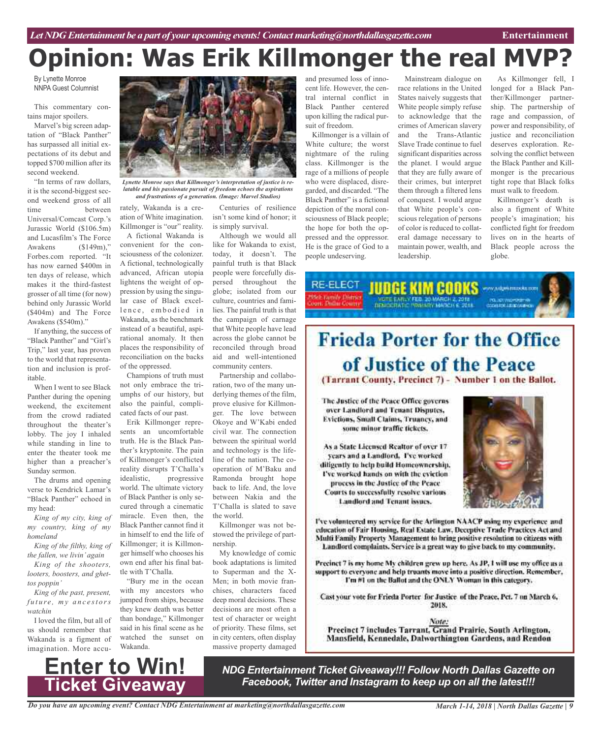# **Opinion: Was Erik Killmonger the real MVP?**

By Lynette Monroe NNPA Guest Columnist

This commentary contains major spoilers.

Marvel's big screen adaptation of "Black Panther" has surpassed all initial expectations of its debut and topped \$700 million after its second weekend.

"In terms of raw dollars, it is the second-biggest second weekend gross of all time between Universal/Comcast Corp.'s Jurassic World (\$106.5m) and Lucasfilm's The Force Awakens (\$149m)," Forbes.com reported. "It has now earned \$400m in ten days of release, which makes it the third-fastest grosser of all time (for now) behind only Jurassic World (\$404m) and The Force Awakens (\$540m)."

If anything, the success of "Black Panther" and "Girl's Trip," last year, has proven to the world that representation and inclusion is profitable.

When I went to see Black Panther during the opening weekend, the excitement from the crowd radiated throughout the theater's lobby. The joy I inhaled while standing in line to enter the theater took me higher than a preacher's Sunday sermon.

The drums and opening verse to Kendrick Lamar's "Black Panther" echoed in my head:

*King of my city, king of my country, king of my homeland*

*King of the filthy, king of the fallen, we livin' again King of the shooters,*

*looters, boosters, and ghettos poppin'*

*King of the past, present, f u t u r e , m y a n c e st o rs watchin*

I loved the film, but all of us should remember that Wakanda is a figment of imagination. More accu-

![](_page_8_Picture_14.jpeg)

*Lynette Monroe says that Killmonger's interpretation of justice is relatable and his passionate pursuit of freedom echoes the aspirations and frustrations of a generation. (Image: Marvel Studios)*

rately, Wakanda is a creation of White imagination. Killmonger is "our" reality.

A fictional Wakanda is convenient for the consciousness of the colonizer. A fictional, technologically advanced, African utopia lightens the weight of oppression by using the singular case of Black excellence, embodied in Wakanda, as the benchmark instead of a beautiful, aspirational anomaly. It then places the responsibility of reconciliation on the backs of the oppressed.

Champions of truth must not only embrace the triumphs of our history, but also the painful, complicated facts of our past.

Erik Killmonger represents an uncomfortable truth. He is the Black Panther's kryptonite. The pain of Killmonger's conflicted reality disrupts T'Challa's idealistic, progressive world. The ultimate victory of Black Panther is only secured through a cinematic miracle. Even then, the Black Panther cannot find it in himself to end the life of Killmonger; it is Killmonger himself who chooses his own end after his final battle with T'Challa.

"Bury me in the ocean with my ancestors who jumped from ships, because they knew death was better than bondage," Killmonger said in his final scene as he watched the sunset on Wakanda.

Centuries of resilience isn't some kind of honor; it is simply survival.

Although we would all like for Wakanda to exist, today, it doesn't. The painful truth is that Black people were forcefully dispersed throughout the globe; isolated from our culture, countries and families. The painful truth is that the campaign of carnage that White people have lead across the globe cannot be reconciled through broad aid and well-intentioned community centers.

Partnership and collaboration, two of the many underlying themes of the film, prove elusive for Killmonger. The love between Okoye and W'Kabi ended civil war. The connection between the spiritual world and technology is the lifeline of the nation. The cooperation of M'Baku and Ramonda brought hope back to life. And, the love between Nakia and the T'Challa is slated to save the world.

Killmonger was not bestowed the privilege of partnership.

My knowledge of comic book adaptations is limited to Superman and the X-Men; in both movie franchises, characters faced deep moral decisions. These decisions are most often a test of character or weight of priority. These films, set in city centers, often display massive property damaged

and presumed loss of innocent life. However, the central internal conflict in Black Panther centered upon killing the radical pursuit of freedom.

Killmonger is a villain of White culture; the worst nightmare of the ruling class. Killmonger is the rage of a millions of people who were displaced, disregarded, and discarded. "The Black Panther" is a fictional depiction of the moral consciousness of Black people; the hope for both the oppressed and the oppressor. He is the grace of God to a people undeserving.

Mainstream dialogue on race relations in the United States naively suggests that White people simply refuse to acknowledge that the crimes of American slavery and the Trans-Atlantic Slave Trade continue to fuel significant disparities across the planet. I would argue that they are fully aware of their crimes, but interpret them through a filtered lens of conquest. I would argue that White people's conscious relegation of persons of color is reduced to collateral damage necessary to maintain power, wealth, and leadership.

As Killmonger fell, I longed for a Black Panther/Killmonger partnership. The partnership of rage and compassion, of power and responsibility, of justice and reconciliation deserves exploration. Resolving the conflict between the Black Panther and Killmonger is the precarious tight rope that Black folks must walk to freedom.

Killmonger's death is also a figment of White people's imagination; his conflicted fight for freedom lives on in the hearts of Black people across the globe.

**RE-ELECT JUDGE KIM COOKS** men adget massie som Skil tamile Dimese VOTE EARLY FEB. 20 MARCH 2, 2018

## **Frieda Porter for the Office** of Justice of the Peace

(Tarrant County, Precinct 7) - Number 1 on the Ballot.

The Justice of the Peace Office governs over Landlord and Tenant Disputes, Evictions, Small Claims, Truancy, and some minor traffic tickets.

As a State Licensed Realtor of over 17 years and a Landford, I've worked diligently to help build Homeownership. I've worked hands on with the eviction process in the Justice of the Peace Courts to successfully resolve various Landlord and Tenant issues.

![](_page_8_Picture_36.jpeg)

I've volunteered my service for the Arlington NAACP using my experience and education of Fair Housing, Real Estate Law, Deceptive Trade Practices Act and Multi Family Property Management to bring positive resolution to citizens with Landlord complaints. Service is a great way to give back to my community.

Precinct 7 is my home My children grew up here. As JP, I will use my office as a support to everyone and help truants move into a positive direction. Remember, I'm #1 on the Ballot and the ONLY Woman in this category.

Cast your vote for Frieda Porter for Justice of the Peace, Pct. 7 on March 6, 2018.

Note: Precinct 7 includes Tarrant, Grand Prairie, South Arlington, Mansfield, Kennedale, Dalworthington Gardens, and Rendon

![](_page_8_Picture_41.jpeg)

*NDG Entertainment Ticket Giveaway!!! Follow North Dallas Gazette on Facebook, Twitter and Instagram to keep up on all the latest!!!*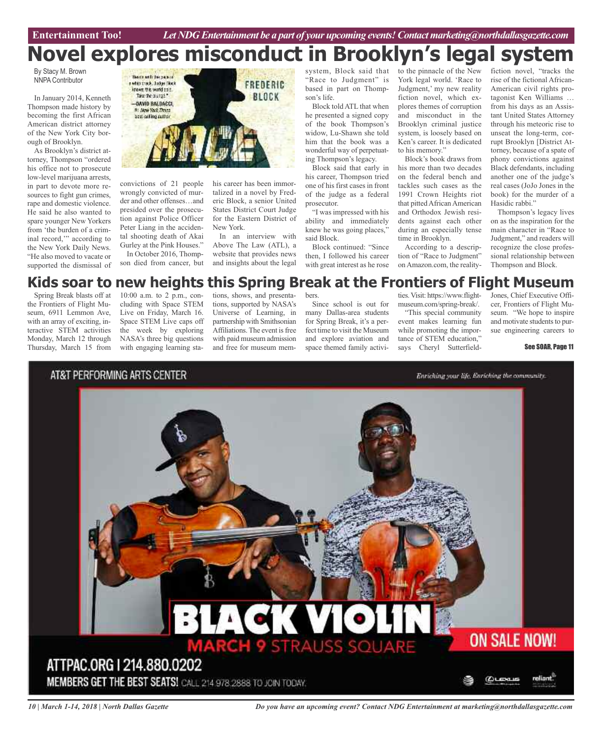## **Novel explores misconduct in Brooklyn's legal system**

By Stacy M. Brown NNPA Contributor

In January 2014, Kenneth Thompson made history by becoming the first African American district attorney of the New York City borough of Brooklyn.

As Brooklyn's district attorney, Thompson "ordered his office not to prosecute low-level marijuana arrests, in part to devote more resources to fight gun crimes, rape and domestic violence. He said he also wanted to spare younger New Yorkers from 'the burden of a criminal record,'" according to the New York Daily News. "He also moved to vacate or supported the dismissal of

![](_page_9_Picture_6.jpeg)

convictions of 21 people wrongly convicted of murder and other offenses…and presided over the prosecution against Police Officer Peter Liang in the accidental shooting death of Akai Gurley at the Pink Houses."

In October 2016, Thompson died from cancer, but his career has been immortalized in a novel by Frederic Block, a senior United States District Court Judge for the Eastern District of New York.

In an interview with Above The Law (ATL), a website that provides news and insights about the legal

system, Block said that "Race to Judgment" is based in part on Thompson's life.

Block told ATL that when he presented a signed copy of the book Thompson's widow, Lu-Shawn she told him that the book was a wonderful way of perpetuating Thompson's legacy.

Block said that early in his career, Thompson tried one of his first cases in front of the judge as a federal prosecutor.

"I was impressed with his ability and immediately knew he was going places," said Block.

Block continued: "Since then, I followed his career with great interest as he rose to the pinnacle of the New York legal world. 'Race to Judgment,' my new reality fiction novel, which explores themes of corruption and misconduct in the Brooklyn criminal justice system, is loosely based on Ken's career. It is dedicated to his memory."

Block's book draws from his more than two decades on the federal bench and tackles such cases as the 1991 Crown Heights riot that pitted African American and Orthodox Jewish residents against each other during an especially tense time in Brooklyn.

According to a description of "Race to Judgment" onAmazon.com, the reality-

fiction novel, "tracks the rise of the fictional African-American civil rights protagonist Ken Williams … from his days as an Assistant United States Attorney through his meteoric rise to unseat the long-term, corrupt Brooklyn [District Attorney, because of a spate of phony convictions against Black defendants, including another one of the judge's real cases (JoJo Jones in the book) for the murder of a Hasidic rabbi.'

Thompson's legacy lives on as the inspiration for the main character in "Race to Judgment," and readers will recognize the close professional relationship between Thompson and Block.

## **Kids soar to new heights this Spring Break at the Frontiers of Flight Museum**

bers.

Spring Break blasts off at the Frontiers of Flight Museum, 6911 Lemmon Ave, with an array of exciting, interactive STEM activities Monday, March 12 through Thursday, March 15 from

10:00 a.m. to 2 p.m., concluding with Space STEM Live on Friday, March 16. Space STEM Live caps off the week by exploring NASA's three big questions with engaging learning sta-

tions, shows, and presentations, supported by NASA's Universe of Learning, in partnership with Smithsonian Affiliations. The event is free with paid museum admission and free for museum mem-

Since school is out for many Dallas-area students for Spring Break, it's a perfect time to visit the Museum and explore aviation and space themed family activi-

ties. Visit: https://www.flightmuseum.com/spring-break/.

"This special community event makes learning fun while promoting the importance of STEM education," says Cheryl SutterfieldJones, Chief Executive Officer, Frontiers of Flight Museum. "We hope to inspire and motivate students to pursue engineering careers to

See SOAR, Page 11

![](_page_9_Picture_30.jpeg)

*10 | March 1-14, 2018 | North Dallas Gazette*

*Do you have an upcoming event? Contact NDG Entertainment at marketing@northdallasgazette.com*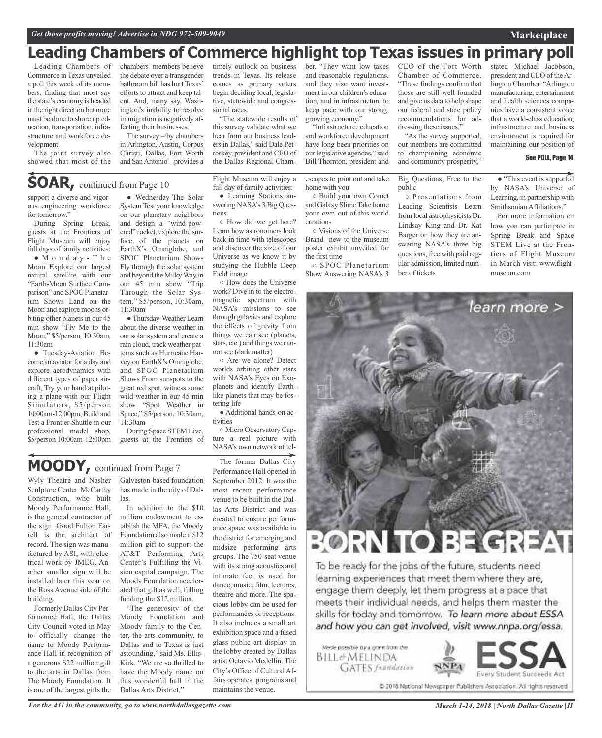## **Leading Chambers of Commerce highlight top Texas issues in primary poll**

Leading Chambers of Commerce inTexas unveiled a poll this week of its members, finding that most say the state's economy is headed in the right direction but more must be done to shore up education, transportation, infrastructure and workforce development.

The joint survey also showed that most of the

chambers' members believe timely outlook on business the debate over a transgender bathroom bill has hurt Texas' efforts to attract and keep talent. And, many say, Washington's inability to resolve immigration is negatively affecting their businesses.

The survey – by chambers in Arlington, Austin, Corpus Christi, Dallas, Fort Worth and SanAntonio – provides a trends in Texas. Its release comes as primary voters begin deciding local, legislative, statewide and congressional races.

"The statewide results of this survey validate what we hear from our business leaders in Dallas," said Dale Petroskey, president and CEO of the Dallas Regional Cham-

Flight Museum will enjoy a full day of family activities: ● Learning Stations an-

Universe as we know it by studying the Hubble Deep

○ How does the Universe work? Dive in to the electromagnetic spectrum with NASA's missions to see through galaxies and explore the effects of gravity from things we can see (planets, stars, etc.) and things we cannot see (dark matter)

○ Are we alone? Detect worlds orbiting other stars with NASA's Eyes on Exoplanets and identify Earthlike planets that may be fos-

● Additional hands-on ac-

○ Micro Observatory Capture a real picture with NASA's own network of tel-

tions

Field image

tering life

tivities

ber. "They want low taxes CEO of the Fort Worth and reasonable regulations, and they also want investment in our children's education, and in infrastructure to keep pace with our strong, growing economy."

"Infrastructure, education and workforce development have long been priorities on our legislative agendas," said Bill Thornton, president and

escopes to print out and take home with you

your own out-of-this-world ○ Visions of the Universe Brand new-to-the-museum poster exhibit unveiled for

○ SPOC Planetarium

Chamber of Commerce. "These findings confirm that those are still well-founded and give us data to help shape our federal and state policy recommendations for addressing these issues."

"As the survey supported, our members are committed to championing economic and community prosperity,"

Big Questions, Free to the public

○ Presentations from Leading Scientists Learn from local astrophysicists Dr. Lindsay King and Dr. Kat Barger on how they are answering NASA's three big questions, free with paid regular admission, limited number of tickets

stated Michael Jacobson, president and CEO of theArlington Chamber. "Arlington manufacturing, entertainment and health sciences companies have a consistent voice that a world-class education, infrastructure and business environment is required for maintaining our position of

#### See POLL, Page 14

● "This event is supported by NASA's Universe of Learning, in partnership with Smithsonian Affiliations."

For more information on how you can participate in Spring Break and Space STEM Live at the Frontiers of Flight Museum in March visit: www.flightmuseum.com.

learn more >

**SOAR,** continued from Page <sup>10</sup>

support a diverse and vigorous engineering workforce for tomorrow."

During Spring Break, guests at the Frontiers of Flight Museum will enjoy full days of family activities:

● M o n d a y - T h e Moon Explore our largest natural satellite with our "Earth-Moon Surface Comparison" and SPOC Planetarium Shows Land on the Moon and explore moons orbiting other planets in our 45 min show "Fly Me to the Moon," \$5/person, 10:30am, 11:30am

● Tuesday-Aviation Become an aviator for a day and explore aerodynamics with different types of paper aircraft, Try your hand at piloting a plane with our Flight Simulators, \$5/person 10:00am-12:00pm,Build and Test a Frontier Shuttle in our professional model shop, \$5/person 10:00am-12:00pm

● Wednesday-The Solar System Test your knowledge on our planetary neighbors and design a "wind-powered" rocket, explore the surface of the planets on EarthX's Omniglobe, and SPOC Planetarium Shows Fly through the solar system and beyond the Milky Way in our 45 min show "Trip Through the Solar System," \$5/person, 10:30am,

●Thursday-Weather Learn about the diverse weather in our solar system and create a rain cloud, track weather patterns such as Hurricane Harvey on EarthX's Omniglobe, and SPOC Planetarium Shows From sunspots to the great red spot, witness some wild weather in our 45 min show "Spot Weather in Space," \$5/person, 10:30am, 11:30am

11:30am

During Space STEM Live, guests at the Frontiers of

## **MOODY,** continued from Page <sup>7</sup>

Wyly Theatre and Nasher Sculpture Center. McCarthy Construction, who built Moody Performance Hall, is the general contractor of the sign. Good Fulton Farrell is the architect of record. The sign was manufactured by ASI, with electrical work by JMEG. Another smaller sign will be installed later this year on the Ross Avenue side of the building.

Formerly Dallas City Performance Hall, the Dallas City Council voted in May to officially change the name to Moody Performance Hall in recognition of a generous \$22 million gift to the arts in Dallas from The Moody Foundation. It is one of the largest gifts the

Galveston-based foundation has made in the city of Dallas.

In addition to the \$10 million endowment to establish the MFA, the Moody Foundation also made a \$12 million gift to support the AT&T Performing Arts Center's Fulfilling the Vision capital campaign. The Moody Foundation accelerated that gift as well, fulling funding the \$12 million.

"The generosity of the Moody Foundation and Moody family to the Center, the arts community, to Dallas and to Texas is just astounding," said Ms. Ellis-Kirk. "We are so thrilled to have the Moody name on this wonderful hall in the Dallas Arts District."

The former Dallas City Performance Hall opened in September 2012. It was the most recent performance venue to be built in the Dallas Arts District and was created to ensure performance space was available in the district for emerging and midsize performing arts groups. The 750-seat venue with its strong acoustics and intimate feel is used for dance, music, film, lectures, theatre and more. The spacious lobby can be used for performances or receptions. It also includes a small art exhibition space and a fused glass public art display in the lobby created by Dallas artist Octavio Medellin. The City's Office of Cultural Affairs operates, programs and maintains the venue.

swering NASA's 3 Big Ques-○ How did we get here? Learn how astronomers look back in time with telescopes and discover the size of our creations

○ Build your own Comet and Galaxy Slime Take home

the first time

Show Answering NASA's 3

**TO** 

To be ready for the jobs of the future, students need learning experiences that meet them where they are, engage them deeply, let them progress at a pace that meets their individual needs, and helps them master the skills for today and tomorrow. To learn more about ESSA and how you can get involved, visit www.nnpa.org/essa.

![](_page_10_Picture_43.jpeg)

@ 2018 National Newspaper Publishers Association. All rights reserved

#### **Marketplace**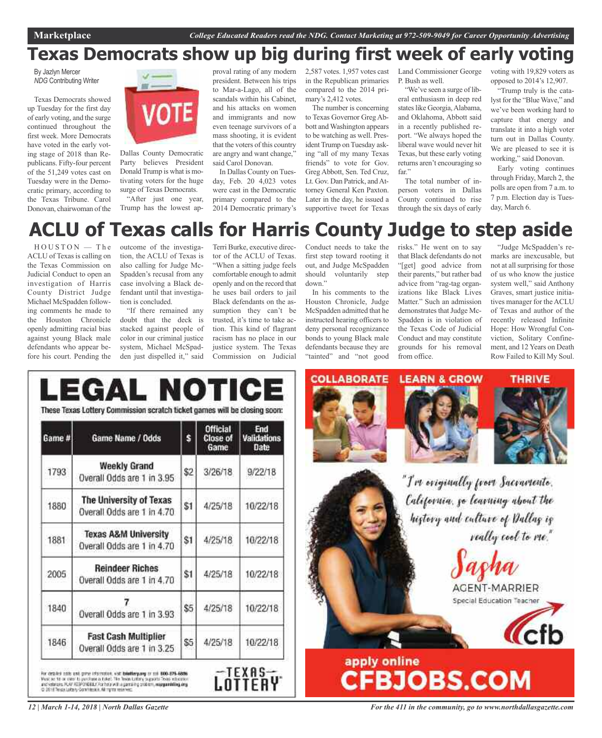## **Texas Democrats show up big during first week of early voting**

By Jazlyn Mercer *NDG* Contributing Writer

Texas Democrats showed up Tuesday for the first day of early voting, and the surge continued throughout the first week. More Democrats have voted in the early voting stage of 2018 than Republicans. Fifty-four percent of the 51,249 votes cast on Tuesday were in the Democratic primary, according to the Texas Tribune. Carol Donovan, chairwoman of the

![](_page_11_Picture_5.jpeg)

Dallas County Democratic Party believes President Donald Trump is what is motivating voters for the huge surge of Texas Democrats.

"After just one year, Trump has the lowest approval rating of any modern president. Between his trips to Mar-a-Lago, all of the scandals within his Cabinet, and his attacks on women and immigrants and now even teenage survivors of a mass shooting, it is evident that the voters of this country are angry and want change," said Carol Donovan.

In Dallas County on Tuesday, Feb. 20 4,023 votes were cast in the Democratic primary compared to the 2014 Democratic primary's

2,587 votes. 1,957 votes cast in the Republican primaries compared to the 2014 primary's 2,412 votes. The number is concerning

to Texas Governor Greg Abbott and Washington appears to be watching as well. President Trump on Tuesday asking "all of my many Texas friends" to vote for Gov. Greg Abbott, Sen. Ted Cruz, Lt. Gov. Dan Patrick, and Attorney General Ken Paxton. Later in the day, he issued a supportive tweet for Texas

Land Commissioner George P. Bush as well.

"We've seen a surge of liberal enthusiasm in deep red states like Georgia, Alabama, and Oklahoma, Abbott said in a recently published report. "We always hoped the liberal wave would never hit Texas, but these early voting returns aren't encouraging so far."

The total number of inperson voters in Dallas County continued to rise through the six days of early

voting with 19,829 voters as opposed to 2014's 12,907.

"Trump truly is the catalyst for the "Blue Wave," and we've been working hard to capture that energy and translate it into a high voter turn out in Dallas County. We are pleased to see it is working," said Donovan.

Early voting continues through Friday, March 2, the polls are open from 7 a.m. to 7 p.m. Election day is Tuesday, March 6.

## **ACLU of Texas calls for Harris County Judge to step aside**

 $HOLISTON = The$ ACLU of Texas is calling on the Texas Commission on Judicial Conduct to open an investigation of Harris County District Judge Michael McSpadden following comments he made to the Houston Chronicle openly admitting racial bias against young Black male defendants who appear before his court. Pending the

outcome of the investigation, the ACLU of Texas is also calling for Judge Mc-Spadden's recusal from any case involving a Black defendant until that investigation is concluded.

"If there remained any doubt that the deck is stacked against people of color in our criminal justice system, Michael McSpadden just dispelled it," said

Terri Burke, executive director of the ACLU of Texas. "When a sitting judge feels comfortable enough to admit openly and on the record that he uses bail orders to jail Black defendants on the assumption they can't be trusted, it's time to take action. This kind of flagrant racism has no place in our justice system. The Texas Commission on Judicial

Conduct needs to take the first step toward rooting it out, and Judge McSpadden should voluntarily step down."

In his comments to the Houston Chronicle, Judge McSpadden admitted that he instructed hearing officers to deny personal recognizance bonds to young Black male defendants because they are "tainted" and "not good

COLLABORATE

risks." He went on to say that Black defendants do not "[get] good advice from their parents," but rather bad advice from "rag-tag organizations like Black Lives Matter." Such an admission demonstrates that Judge Mc-Spadden is in violation of the Texas Code of Judicial Conduct and may constitute grounds for his removal from office.

**LEARN & GROW** 

"Judge McSpadden's remarks are inexcusable, but not at allsurprising for those of us who know the justice system well," said Anthony Graves, smart justice initiatives manager for the ACLU of Texas and author of the recently released Infinite Hope: How Wrongful Conviction, Solitary Confinement, and 12 Years on Death Row Failed to Kill My Soul.

**THRIVE** 

| Game # | Game Name / Odds                                              | Ś   | <b>Official</b><br><b>Close of</b><br>Game | End<br>Validations<br>Date |
|--------|---------------------------------------------------------------|-----|--------------------------------------------|----------------------------|
| 1793   | <b>Weekly Grand</b><br>Overall Odds are 1 in 3.95             | \$2 | 3/26/18                                    | 9/22/18                    |
| 1880   | The University of Texas<br>Overall Odds are 1 in 4.70         | \$1 | 4/25/18                                    | 10/22/18                   |
| 1881   | <b>Texas A&amp;M University</b><br>Overall Odds are 1 in 4.70 | \$1 | 4/25/18                                    | 10/22/18                   |
| 2005   | <b>Reindeer Riches</b><br>Overall Odds are 1 in 4.70          | \$1 | 4/25/18                                    | 10/22/18                   |
| 1840   | Overall Odds are 1 in 3.93                                    | \$5 | 4/25/18                                    | 10/22/18                   |
| 1846   | <b>Fast Cash Multiplier</b><br>Overall Odds are 1 in 3.25     | \$5 | 4/25/18                                    | 10/22/18                   |

and vehinges. PLAY RESPONSIBLE For here will a partialing crobinity, was guardeling, only<br>© 2019 Texas Lotery Constitution, All rights reserved.

"I've eviginally from Sacramente. California, go learning about the history and culture of Dallas is really cool to me."

**FBJOBS.COM** 

apply online

*12 | March 1-14, 2018 | North Dallas Gazette*

*For the 411 in the community, go to www.northdallasgazette.com*

AGENT-MARRIER Special Education Teacher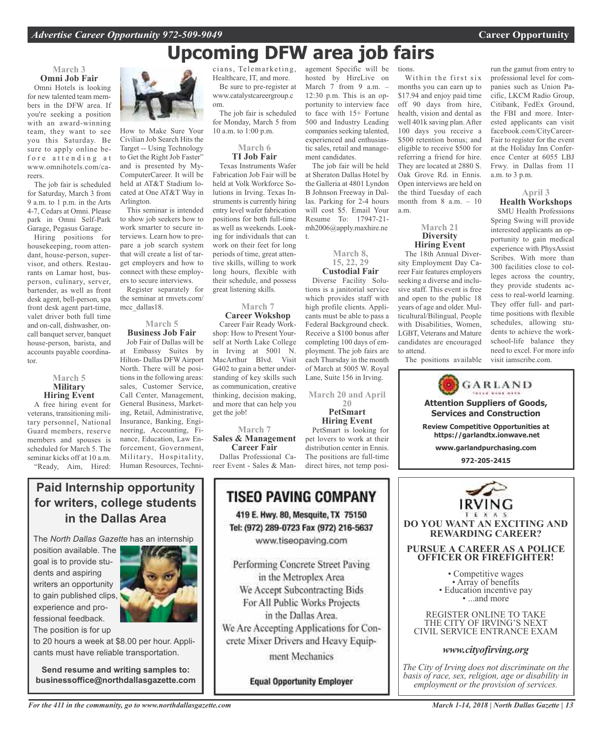## **Upcoming DFW area job fairs**

agement Specific will be hosted by HireLive on March  $7$  from  $9$  a.m.  $-$ 12:30 p.m. This is an opportunity to interview face to face with 15+ Fortune 500 and Industry Leading companies seeking talented, experienced and enthusiastic sales, retail and manage-

ment candidates.

t.

The job fair will be held at Sheraton Dallas Hotel by the Galleria at 4801 Lyndon B Johnson Freeway in Dallas. Parking for 2-4 hours will cost \$5. Email Your Resume To: 17947-21 mh2006@apply.maxhire.ne

**March 8, 15, 22, <sup>29</sup> Custodial Fair** Diverse Facility Solutions is a janitorial service which provides staff with high profile clients. Applicants must be able to pass a Federal Background check. Receive a \$100 bonus after completing 100 days of employment. The job fairs are each Thursday in the month of March at 5005 W. Royal Lane, Suite 156 in Irving.

**March 20 and April 20 PetSmart Hiring Event** PetSmart is looking for pet lovers to work at their distribution center in Ennis. The positions are full-time direct hires, not temp posi-

run the gamut from entry to professional level for companies such as Union Pacific, LKCM Radio Group, Citibank, FedEx Ground,

#### **March 3 Omni Job Fair**

Omni Hotels is looking for new talented team members in the DFW area. If you're seeking a position with an award-winning team, they want to see you this Saturday. Be sure to apply online before attending at www.omnihotels.com/careers.

The job fair is scheduled for Saturday, March 3 from 9 a.m. to 1 p.m. in the Arts 4-7, Cedars at Omni. Please park in Omni Self-Park Garage, Pegasus Garage.

Hiring positions for housekeeping, room attendant, house-person, supervisor, and others. Restaurants on Lamar host, busperson, culinary, server, bartender, as well as front desk agent, bell-person, spa front desk agent part-time, valet driver both full time and on-call, dishwasher, oncall banquet server, banquet house-person, barista, and accounts payable coordinator.

#### **March 5 Military Hiring Event**

A free hiring event for veterans, transitioning military personnel, National Guard members, reserve members and spouses is scheduled for March 5. The seminar kicks off at 10 a.m. "Ready, Aim, Hired:

![](_page_12_Picture_9.jpeg)

How to Make Sure Your Civilian Job Search Hits the Target -- Using Technology to Get the Right Job Faster" and is presented by My-ComputerCareer. It will be held at AT&T Stadium located at One AT&T Way in Arlington.

This seminar is intended to show job seekers how to work smarter to secure interviews. Learn how to prepare a job search system that will create a list of target employers and how to connect with these employers to secure interviews.

Register separately for the seminar at rmvets.com/ mcc\_dallas18.

#### **March 5 Business Job Fair**

Job Fair of Dallas will be at Embassy Suites by Hilton- Dallas DFWAirport North. There will be positions in the following areas: sales, Customer Service, Call Center, Management, General Business, Marketing, Retail, Administrative, Insurance, Banking, Engineering, Accounting, Finance, Education, Law Enforcement, Government, Military, Hospitality, Human Resources, Technicians, Telemarketing, Healthcare, IT, and more. Be sure to pre-register at www.catalystcareergroup.c om.

The job fair is scheduled for Monday, March 5 from 10 a.m. to 1:00 p.m.

#### **March 6 TI Job Fair**

Texas Instruments Wafer Fabrication Job Fair will be held at Volk Workforce Solutions in Irving. Texas Instruments is currently hiring entry level wafer fabrication positions for both full-time as well as weekends. Looking for individuals that can work on their feet for long periods of time, great attentive skills, willing to work long hours, flexible with their schedule, and possess great listening skills.

## **March 7**

**Career Wokshop** Career Fair Ready Workshop: How to Present Yourself at North Lake College in Irving at 5001 N. MacArthur Blvd. Visit G402 to gain a better understanding of key skills such as communication, creative thinking, decision making, and more that can help you get the job!

**March 7 Sales & Management Career Fair**

Dallas Professional Career Event - Sales & Man-

## TISEO PAVING COMPANY 419 E. Hwy. 80, Mesquite, TX 75150 Tel: (972) 289-0723 Fax (972) 216-5637

www.tiseopaving.com

Performing Concrete Street Paving in the Metroplex Area We Accept Subcontracting Bids For All Public Works Projects in the Dallas Area. We Are Accepting Applications for Concrete Mixer Drivers and Heavy Equipment Mechanics

**Equal Opportunity Employer** 

tions.

Within the first six months you can earn up to \$17.94 and enjoy paid time off 90 days from hire, health, vision and dental as well 401k saving plan. After 100 days you receive a \$500 retention bonus; and eligible to receive \$500 for referring a friend for hire. They are located at 2880 S. Oak Grove Rd. in Ennis. Open interviews are held on the third Tuesday of each month from 8 a.m. – 10 a.m.

#### **March 21 Diversity Hiring Event** The 18th Annual Diver-

sity Employment Day Career Fair features employers seeking a diverse and inclusive staff. This event is free and open to the public 18 years of age and older. Multicultural/Bilingual, People with Disabilities, Women, LGBT, Veterans and Mature candidates are encouraged to attend.

The positions available

![](_page_12_Picture_32.jpeg)

**www.garlandpurchasing.com**

**972-205-2415**

![](_page_12_Picture_35.jpeg)

**DO YOU WANT AN EXCITING AND REWARDING CAREER?**

#### **PURSUE A CAREER AS A POLICE OFFICER OR FIREFIGHTER!**

• Competitive wages<br>• Array of benefits<br>• Education incentive pay<br>• ...and more

REGISTER ONLINE TO TAKE THE CITY OF IRVING'S NEXT CIVIL SERVICE ENTRANCE EXAM

#### *www.cityofirving.org*

*The City of Irving does not discriminate on the basis of race, sex, religion, age or disability in employment or the provision of services.*

## **Paid Internship opportunity for writers, college students in the Dallas Area**

The *North Dallas Gazette* has an internship

position available. The goal is to provide students and aspiring writers an opportunity to gain published clips, experience and professional feedback. The position is for up

![](_page_12_Picture_45.jpeg)

to 20 hours a week at \$8.00 per hour. Applicants must have reliable transportation.

**Send resume and writing samples to: businessoffice@northdallasgazette.com** the FBI and more. Interested applicants can visit facebook.com/CityCareer-Fair to register for the event at the Holiday Inn Conference Center at 6055 LBJ Frwy. in Dallas from 11 a.m. to 3 p.m. **April 3 Health Workshops** SMU Health Professions

Spring Swing will provide interested applicants an opportunity to gain medical experience with PhysAssist Scribes. With more than 300 facilities close to colleges across the country, they provide students access to real-world learning. They offer full- and parttime positions with flexible schedules, allowing students to achieve the workschool-life balance they need to excel. For more info visit iamscribe.com.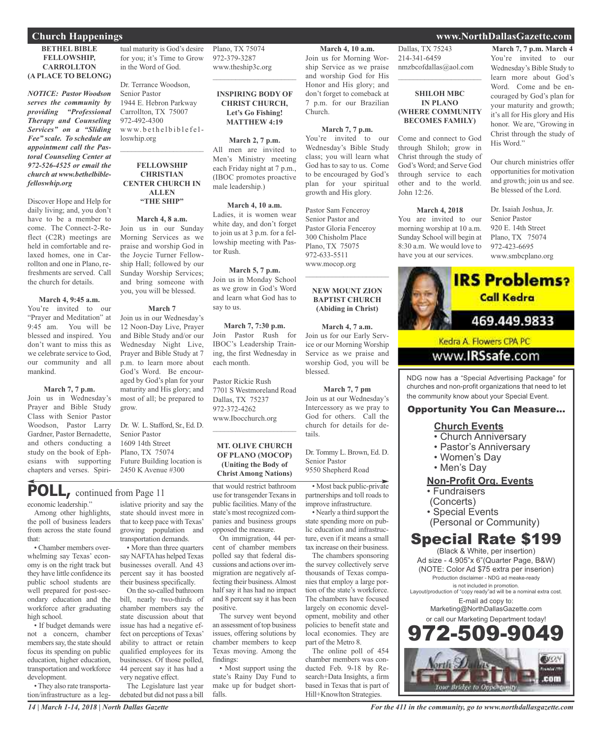#### **BETHEL BIBLE FELLOWSHIP, CARROLLTON (A PLACE TO BELONG)**

*NOTICE: Pastor Woodson serves the community by providing "Professional Therapy and Counseling Services" on a "Sliding Fee" scale. To schedule an appointment call the Pastoral Counseling Center at 972-526-4525 or email the church at www.bethelbiblefelloswhip.org*

Discover Hope and Help for daily living; and, you don't have to be a member to come. The Connect-2-Reflect (C2R) meetings are held in comfortable and relaxed homes, one in Carrollton and one in Plano, refreshments are served. Call the church for details.

#### **March 4, 9:45 a.m.**

You're invited to our "Prayer and Meditation" at 9:45 am. You will be blessed and inspired. You don't want to miss this as we celebrate service to God, our community and all mankind.

#### **March 7, 7 p.m.**

Join us in Wednesday's Prayer and Bible Study Class with Senior Pastor Woodson, Pastor Larry Gardner, Pastor Bernadette, and others conducting a study on the book of Ephesians with supporting chapters and verses. Spiritual maturity is God's desire for you; it's Time to Grow in the Word of God.

Dr. Terrance Woodson, Senior Pastor 1944 E. Hebron Parkway Carrollton, TX 75007 972-492-4300 www.bethelbiblefelloswhip.org  $\mathcal{L}_\text{max}$  , which is a set of the set of the set of the set of the set of the set of the set of the set of the set of the set of the set of the set of the set of the set of the set of the set of the set of the set of

#### **FELLOWSHIP CHRISTIAN CENTER CHURCH IN ALLEN "THE SHIP"**

Join us in our Sunday Morning Services as we praise and worship God in the Joycie Turner Fellowship Hall; followed by our Sunday Worship Services; and bring someone with you, you will be blessed.

Join us in our Wednesday's 12 Noon-Day Live, Prayer and Bible Study and/or our Wednesday Night Live, Prayer and Bible Study at 7 p.m. to learn more about God's Word. Be encouraged by God's plan for your maturity and His glory; and most of all; be prepared to grow.

Senior Pastor 1609 14th Street Plano, TX 75074 2450 K Avenue #300

economic leadership."

Among other highlights, the poll of business leaders from across the state found that:

• Chamber members overwhelming say Texas' economy is on the right track but they have little confidence its public school students are well prepared for post-secondary education and the workforce after graduating high school.

• If budget demands were not a concern, chamber members say, the state should focus its spending on public education, higher education, transportation and workforce development.

•They also rate transportation/infrastructure as a leg-

**March 4, 8 a.m.**

#### **March 7**

Dr. W. L. Stafford, Sr., Ed. D. Future Building location is

islative priority and say the state should invest more in that to keep pace with Texas'

## **POLL,** continued from Page <sup>11</sup>

growing population and transportation demands. • More than three quarters say NAFTA has helped Texas businesses overall. And 43

percent say it has boosted their business specifically. On the so-called bathroom bill, nearly two-thirds of chamber members say the state discussion about that issue has had a negative effect on perceptions of Texas' ability to attract or retain qualified employees for its businesses. Of those polled, 44 percent say it has had a very negative effect.

The Legislature last year debated but did not pass a bill Plano, TX 75074 972-379-3287 www.theship3c.org

**INSPIRING BODY OF CHRIST CHURCH, Let's Go Fishing! MATTHEW 4:19**

 $\mathcal{L}_\text{max}$  and  $\mathcal{L}_\text{max}$  and  $\mathcal{L}_\text{max}$ 

#### **March 2, 7 p.m.** All men are invited to

Men's Ministry meeting each Friday night at 7 p.m., (IBOC promotes proactive male leadership.)

#### **March 4, 10 a.m.**

Ladies, it is women wear white day, and don't forget to join us at 3 p.m. for a fellowship meeting with Pastor Rush.

#### **March 5, 7 p.m.**

Join us in Monday School as we grow in God's Word and learn what God has to say to us.

#### **March 7, 7:30 p.m.**

Join Pastor Rush for IBOC's Leadership Training, the first Wednesday in each month.

Pastor Rickie Rush 7701 S Westmoreland Road Dallas, TX 75237 972-372-4262 www.Ibocchurch.org

#### **MT. OLIVE CHURCH OF PLANO (MOCOP) (Uniting the Body of Christ Among Nations)**

 $\mathcal{L}_\text{max}$  , which is a set of the set of the set of the set of the set of the set of the set of the set of the set of the set of the set of the set of the set of the set of the set of the set of the set of the set of

that would restrict bathroom use for transgender Texans in public facilities. Many of the state's most recognized companies and business groups opposed the measure.

On immigration, 44 percent of chamber members polled say that federal discussions and actions over immigration are negatively affecting their business.Almost half say it has had no impact and 8 percent say it has been positive.

The survey went beyond an assessment of top business issues, offering solutions by chamber members to keep Texas moving. Among the findings:

• Most support using the state's Rainy Day Fund to make up for budget shortfalls.

**March 4, 10 a.m.** Join us for Morning Worship Service as we praise and worship God for His Honor and His glory; and don't forget to comeback at 7 p.m. for our Brazilian Church.

#### **March 7, 7 p.m.**

You're invited to our Wednesday's Bible Study class; you will learn what God has to say to us. Come to be encouraged by God's plan for your spiritual growth and His glory.

Pastor Sam Fenceroy Senior Pastor and Pastor Gloria Fenceroy 300 Chisholm Place Plano, TX 75075 972-633-5511 www.mocop.org

#### **NEW MOUNT ZION BAPTIST CHURCH (Abiding in Christ)**

 $\overline{\phantom{a}}$  , which is a set of the set of the set of the set of the set of the set of the set of the set of the set of the set of the set of the set of the set of the set of the set of the set of the set of the set of th

**March 4, 7 a.m.** Join us for our Early Service or our Morning Worship Service as we praise and worship God, you will be blessed.

**March 7, 7 pm**

Join us at our Wednesday's Intercessory as we pray to God for others. Call the church for details for details.

Dr. Tommy L. Brown, Ed. D. Senior Pastor 9550 Shepherd Road

• Most back public-private partnerships and toll roads to improve infrastructure.

• Nearly a third support the state spending more on public education and infrastructure, even if it means a small tax increase on their business.

The chambers sponsoring the survey collectively serve thousands of Texas companies that employ a large portion of the state's workforce. The chambers have focused largely on economic development, mobility and other policies to benefit state and local economies. They are part of the Metro 8.

The online poll of 454 chamber members was conducted Feb. 9-18 by Research+Data Insights, a firm based in Texas that is part of Hill+Knowlton Strategies.

Dallas, TX 75243 214-341-6459 nmzbcofdallas@aol.com

#### **SHILOH MBC IN PLANO (WHERE COMMUNITY BECOMES FAMILY)**

 $\mathcal{L}=\mathcal{L}^{\mathcal{L}}$  , where  $\mathcal{L}^{\mathcal{L}}$  , we have the set of the set of the set of the set of the set of the set of the set of the set of the set of the set of the set of the set of the set of the set of the set of

Come and connect to God through Shiloh; grow in Christ through the study of God's Word; and Serve God through service to each other and to the world. John 12:26.

#### **March 4, 2018**

You are invited to our morning worship at 10 a.m. Sunday School will begin at 8:30 a.m. We would love to have you at our services.

**March 7, 7 p.m. March 4** You're invited to our Wednesday's Bible Study to learn more about God's Word. Come and be encouraged by God's plan for your maturity and growth; it's all for His glory and His honor. We are, "Growing in Christ through the study of His Word."

Our church ministries offer opportunities for motivation and growth; join us and see. Be blessed of the Lord.

Dr. Isaiah Joshua, Jr. Senior Pastor 920 E. 14th Street Plano, TX 75074 972-423-6695 www.smbcplano.org

![](_page_13_Picture_73.jpeg)

NDG now has a "Special Advertising Package" for churches and non-profit organizations that need to let the community know about your Special Event.

#### Opportunity You Can Measure...

## **Church Events**

- Church Anniversary
- Pastor's Anniversary
- Women's Day
- Men's Day

## **Non-Profit Org. Events**

- Fundraisers
- (Concerts)
- Special Events
- (Personal or Community)

## Special Rate \$199

(Black & White, per insertion) Ad size - 4.905"x 6"(Quarter Page, B&W) (NOTE: Color Ad \$75 extra per inserion) Production disclaimer - NDG ad meake-ready is not included in promotion. Layout/production of "copy ready"ad will be a nominal extra cost.

E-mail ad copy to: Marketing@NorthDallasGazette.com or call our Marketing Department today!

![](_page_13_Picture_89.jpeg)

*For the 411 in the community, go to www.northdallasgazette.com*

## **Church Happenings www.NorthDallasGazette.com**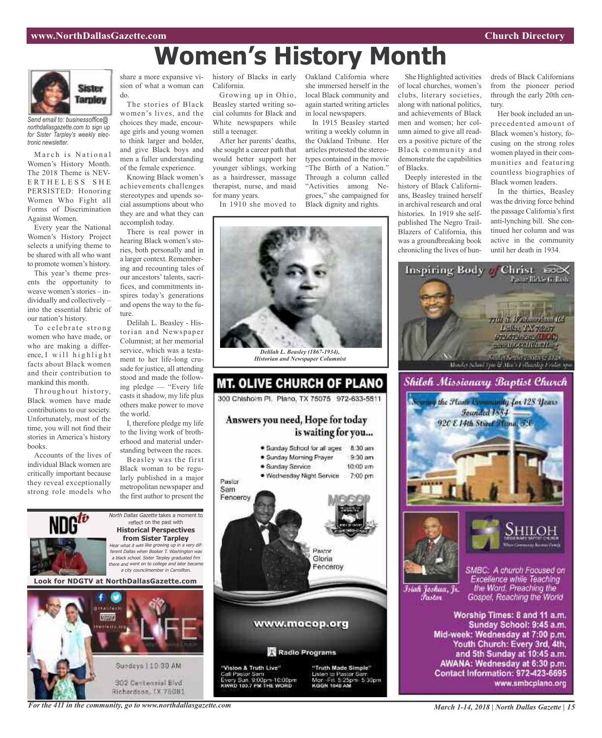# **Women's History Month**

in local newspapers.

"The Birth of a Nation." Through a column called "Activities among Negroes," she campaigned for Black dignity and rights.

![](_page_14_Picture_3.jpeg)

*Send email to: businessoffice@ northdallasgazette.com to sign up for Sister Tarpley's weekly electronic newsletter.*

March is National Women's History Month. The 2018 Theme is NEV-E R T H E L E S S S H E PERSISTED: Honoring Women Who Fight all Forms of Discrimination Against Women.

Every year the National Women's History Project selects a unifying theme to be shared with all who want to promote women's history.

This year's theme presents the opportunity to weave women's stories – individually and collectively – into the essential fabric of our nation's history.

To celebrate strong women who have made, or who are making a difference, I will highlight facts about Black women and their contribution to mankind this month.

Throughout history, Black women have made contributions to our society. Unfortunately, most of the time, you will not find their stories in America's history books.

Accounts of the lives of individual Black women are critically important because they reveal exceptionally strong role models who

share a more expansive vi-history of Blacks in early sion of what a woman can do.

The stories of Black women's lives, and the choices they made, encourage girls and young women to think larger and bolder, and give Black boys and men a fuller understanding of the female experience.

Knowing Black women's achievements challenges stereotypes and upends social assumptions about who they are and what they can accomplish today.

There is real power in hearing Black women's stories, both personally and in a larger context. Remembering and recounting tales of our ancestors'talents, sacrifices, and commitments inspires today's generations and opens the way to the future.

Delilah L. Beasley - Historian and Newspaper Columnist; at her memorial service, which was a testament to her life-long crusade for justice, all attending stood and made the following pledge — "Every life casts it shadow, my life plus others make power to move the world.

I, therefore pledge my life to the living work of brotherhood and material understanding between the races.

Beasley was the first Black woman to be regularly published in a major metropolitan newspaper and the first author to present the

North Dallas Gazette takes a moment to reflect on the past with **Historical Perspectives from Sister Tarpley** Hear what it was like growing up in <sup>a</sup> very different Dallas when Booker T. Washington was <sup>a</sup> black school. Sister Tarpley graduated frm there and went on to college and later became <sup>a</sup> city councilmember in Carrollton.

**Look for NDGTV at NorthDallasGazette.com**

![](_page_14_Picture_20.jpeg)

California.

Growing up in Ohio, Beasley started writing social columns for Black and White newspapers while still a teenager.

After her parents' deaths, she sought a career path that would better support her younger siblings, working as a hairdresser, massage therapist, nurse, and maid for many years.

In 1910 she moved to

*Delilah L. Beasley (1867-1934), Historian and Newspaper Columnist*

![](_page_14_Picture_27.jpeg)

Oakland California where she immersed herself in the local Black community and again started writing articles In 1915 Beasley started writing a weekly column in the Oakland Tribune. Her articles protested the stereotypes contained in the movie She Highlighted activities of local churches, women's clubs, literary societies, along with national politics, and achievements of Black men and women; her column aimed to give all readers a positive picture of the Black community and demonstrate the capabilities

of Blacks.

Deeply interested in the history of Black Californians, Beasley trained herself in archival research and oral histories. In 1919 she selfpublished The Negro Trail-Blazers of California, this was a groundbreaking book chronicling the lives of hundreds of Black Californians from the pioneer period through the early 20th century.

Her book included an unprecedented amount of Black women's history, focusing on the strong roles women played in their communities and featuring countless biographies of Black women leaders.

In the thirties, Beasley was the driving force behind the passage California's first anti-lynching bill. She continued her column and was active in the community until her death in 1934.

![](_page_14_Picture_33.jpeg)

Mid-week: Wednesday at 7:00 p.m. Youth Church: Every 3rd, 4th, and 5th Sunday at 10:45 a.m. AWANA: Wednesday at 6:30 p.m. Contact Information: 972-423-6695 www.smbcplano.org

*For the 411 in the community, go to www.northdallasgazette.com*